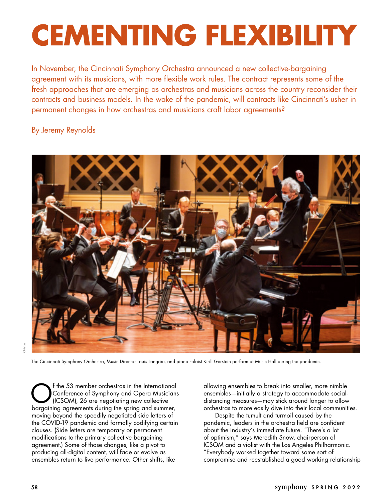## **CEMENTING FLEXIBILITY**

In November, the Cincinnati Symphony Orchestra announced a new collective-bargaining agreement with its musicians, with more flexible work rules. The contract represents some of the fresh approaches that are emerging as orchestras and musicians across the country reconsider their contracts and business models. In the wake of the pandemic, will contracts like Cincinnati's usher in permanent changes in how orchestras and musicians craft labor agreements?

## By Jeremy Reynolds



The Cincinnati Symphony Orchestra, Music Director Louis Langrée, and piano soloist Kirill Gerstein perform at Music Hall during the pandemic.

Of the 53 member orchestras in the International<br>Conference of Symphony and Opera Musicians<br>(ICSOM), 26 are negotiating new collective<br>bereceiving argements during the spring and summer. Conference of Symphony and Opera Musicians (ICSOM), 26 are negotiating new collective bargaining agreements during the spring and summer, moving beyond the speedily negotiated side letters of the COVID-19 pandemic and formally codifying certain clauses. (Side letters are temporary or permanent modifications to the primary collective bargaining agreement.) Some of those changes, like a pivot to producing all-digital content, will fade or evolve as ensembles return to live performance. Other shifts, like

allowing ensembles to break into smaller, more nimble ensembles—initially a strategy to accommodate socialdistancing measures—may stick around longer to allow orchestras to more easily dive into their local communities.

Despite the tumult and turmoil caused by the pandemic, leaders in the orchestra field are confident about the industry's immediate future. "There's a lot of optimism," says Meredith Snow, chairperson of ICSOM and a violist with the Los Angeles Philharmonic. "Everybody worked together toward some sort of compromise and reestablished a good working relationship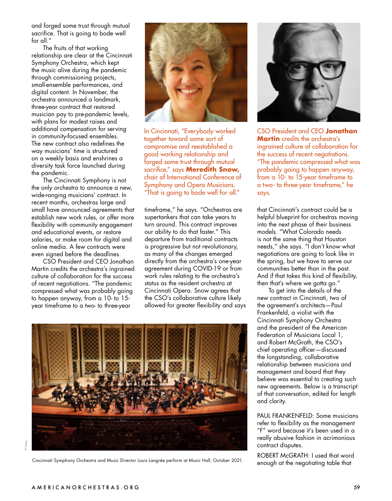and forged some trust through mutual sacrifice. That is going to bode well for all."

The fruits of that working relationship are clear at the Cincinnati Symphony Orchestra, which kept the music alive during the pandemic through commissioning projects, small-ensemble performances, and digital content. In November, the orchestra announced a landmark, three-year contract that restored musician pay to pre-pandemic levels, with plans for modest raises and additional compensation for serving in community-focused ensembles. The new contract also redefines the way musicians' time is structured on a weekly basis and enshrines a diversity task force launched during the pandemic.

The Cincinnati Symphony is not the only orchestra to announce a new, wide-ranging musicians' contract. In recent months, orchestras large and small have announced agreements that establish new work rules, or offer more flexibility with community engagement and educational events, or restore salaries, or make room for digital and online media. A few contracts were even signed before the deadlines.

CSO President and CEO Jonathan Martin credits the orchestra's ingrained culture of collaboration for the success of recent negotiations. "The pandemic compressed what was probably going to happen anyway, from a 10- to 15 year timeframe to a two- to three-year



In Cincinnati, "Everybody worked together toward some sort of compromise and reestablished a good working relationship and forged some trust through mutual sacrifice," says **Meredith Snow,** chair of International Conference of Symphony and Opera Musicians. "That is going to bode well for all."

timeframe," he says. "Orchestras are supertankers that can take years to turn around. This contract improves our ability to do that faster." This departure from traditional contracts is progressive but not revolutionary, as many of the changes emerged directly from the orchestra's one-year agreement during COVID-19 or from work rules relating to the orchestra's status as the resident orchestra at Cincinnati Opera. Snow agrees that the CSO's collaborative culture likely allowed for greater flexibility and says



CSO President and CEO **Jonathan Martin** credits the orchestra's ingrained culture of collaboration for the success of recent negotiations. "The pandemic compressed what was probably going to happen anyway, from a 10- to 15-year timeframe to a two- to three-year timeframe," he says.

that Cincinnati's contract could be a helpful blueprint for orchestras moving into the next phase of their business models. "What Colorado needs is not the same thing that Houston needs," she says. "I don't know what negotiations are going to look like in the spring, but we have to serve our communities better than in the past. And if that takes this kind of flexibility, then that's where we gotta go."

To get into the details of the new contract in Cincinnati, two of the agreement's architects—Paul Frankenfeld, a violist with the Cincinnati Symphony Orchestra and the president of the American Federation of Musicians Local 1, and Robert McGrath, the CSO's chief operating officer—discussed the longstanding, collaborative relationship between musicians and management and board that they believe was essential to creating such new agreements. Below is a transcript of that conversation, edited for length and clarity.

PAUL FRANKENFELD: Some musicians refer to flexibility as the management "F" word because it's been used in a really abusive fashion in acrimonious contract disputes.

ROBERT McGRATH: I used that word enough at the negotiating table that



Cincinnati Symphony Orchestra and Music Director Louis Langrée perform at Music Hall, October 2021.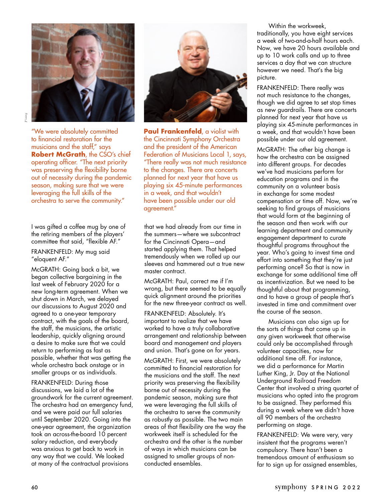

"We were absolutely committed to financial restoration for the musicians and the staff," says **Robert McGrath**, the CSO's chief operating officer. "The next priority was preserving the flexibility borne out of necessity during the pandemic season, making sure that we were leveraging the full skills of the orchestra to serve the community."

I was gifted a coffee mug by one of the retiring members of the players' committee that said, "flexible AF."

FRANKENFELD: My mug said "eloquent AF."

McGRATH: Going back a bit, we began collective bargaining in the last week of February 2020 for a new long-term agreement. When we shut down in March, we delayed our discussions to August 2020 and agreed to a one-year temporary contract, with the goals of the board, the staff, the musicians, the artistic leadership, quickly aligning around a desire to make sure that we could return to performing as fast as possible, whether that was getting the whole orchestra back onstage or in smaller groups or as individuals.

FRANKENFELD: During those discussions, we laid a lot of the groundwork for the current agreement. The orchestra had an emergency fund, and we were paid our full salaries until September 2020. Going into the one-year agreement, the organization took an across-the-board 10 percent salary reduction, and everybody was anxious to get back to work in any way that we could. We looked at many of the contractual provisions



**Paul Frankenfeld**, a violist with the Cincinnati Symphony Orchestra and the president of the American Federation of Musicians Local 1, says, "There really was not much resistance to the changes. There are concerts planned for next year that have us playing six 45-minute performances in a week, and that wouldn't have been possible under our old agreement."

that we had already from our time in the summers—where we subcontract for the Cincinnati Opera—and started applying them. That helped tremendously when we rolled up our sleeves and hammered out a true new master contract.

McGRATH: Paul, correct me if I'm wrong, but there seemed to be equally quick alignment around the priorities for the new three-year contract as well.

FRANKENFELD: Absolutely. It's important to realize that we have worked to have a truly collaborative arrangement and relationship between board and management and players and union. That's gone on for years.

McGRATH: First, we were absolutely committed to financial restoration for the musicians and the staff. The next priority was preserving the flexibility borne out of necessity during the pandemic season, making sure that we were leveraging the full skills of the orchestra to serve the community as robustly as possible. The two main areas of that flexibility are the way the workweek itself is scheduled for the orchestra and the other is the number of ways in which musicians can be assigned to smaller groups of nonconducted ensembles.

Within the workweek, traditionally, you have eight services a week of two-and-a-half hours each. Now, we have 20 hours available and up to 10 work calls and up to three services a day that we can structure however we need. That's the big picture.

FRANKENFELD: There really was not much resistance to the changes, though we did agree to set stop times as new guardrails. There are concerts planned for next year that have us playing six 45-minute performances in a week, and that wouldn't have been possible under our old agreement.

McGRATH: The other big change is how the orchestra can be assigned into different groups. For decades we've had musicians perform for education programs and in the community on a volunteer basis in exchange for some modest compensation or time off. Now, we're seeking to find groups of musicians that would form at the beginning of the season and then work with our learning department and community engagement department to curate thoughtful programs throughout the year. Who's going to invest time and effort into something that they're just performing once? So that is now in exchange for some additional time off as incentivization. But we need to be thoughtful about that programming, and to have a group of people that's invested in time and commitment over the course of the season.

Musicians can also sign up for the sorts of things that come up in any given workweek that otherwise could only be accomplished through volunteer capacities, now for additional time off. For instance, we did a performance for Martin Luther King, Jr. Day at the National Underground Railroad Freedom Center that involved a string quartet of musicians who opted into the program to be assigned. They performed this during a week where we didn't have all 90 members of the orchestra performing on stage.

FRANKENFELD: We were very, very insistent that the programs weren't compulsory. There hasn't been a tremendous amount of enthusiasm so far to sign up for assigned ensembles,